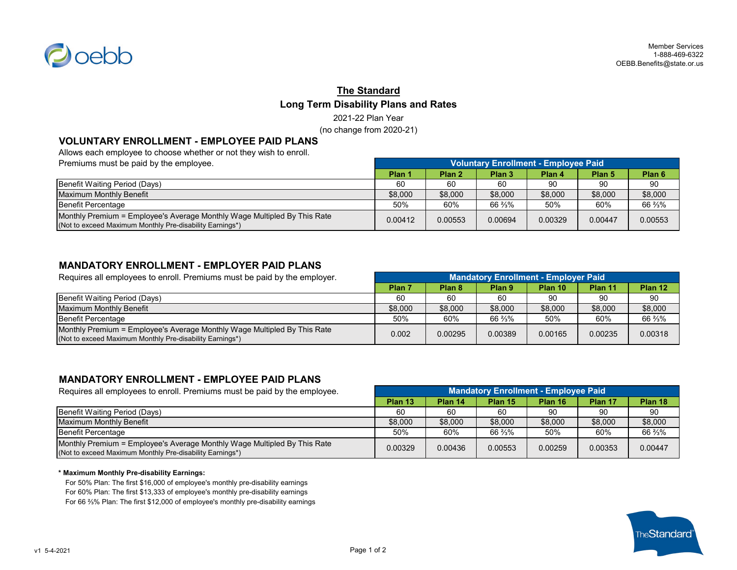

# **The Standard Long Term Disability Plans and Rates** 2021-22 Plan Year

(no change from 2020-21)

## **VOLUNTARY ENROLLMENT - EMPLOYEE PAID PLANS**

Allows each employee to choose whether or not they wish to enroll.

| Premiums must be paid by the employee.                                                                                               | Voluntary Enrollment - Employee Paid |                   |                   |         |         |                   |
|--------------------------------------------------------------------------------------------------------------------------------------|--------------------------------------|-------------------|-------------------|---------|---------|-------------------|
|                                                                                                                                      | Plan 1                               | Plan <sub>2</sub> | Plan <sub>3</sub> | Plan 4  | Plan 5  | Plan <sub>6</sub> |
| Benefit Waiting Period (Days)                                                                                                        | 60                                   | 60                | 60                | 90      | 90      | 90                |
| Maximum Monthly Benefit                                                                                                              | \$8,000                              | \$8,000           | \$8,000           | \$8,000 | \$8,000 | \$8,000           |
| Benefit Percentage                                                                                                                   | 50%                                  | 60%               | 66 %%             | 50%     | 60%     | 66 %%             |
| Monthly Premium = Employee's Average Monthly Wage Multipled By This Rate<br>(Not to exceed Maximum Monthly Pre-disability Earnings*) | 0.00412                              | 0.00553           | 0.00694           | 0.00329 | 0.00447 | 0.00553           |

## **MANDATORY ENROLLMENT - EMPLOYER PAID PLANS**

Requires all employees to enroll. Premiums must be paid by the employer. **Plan 7 Plan 8 Plan 9 Plan 10 Plan 11 Plan 12** Benefit Waiting Period (Days) 60 60 60 90 90 90 Maximum Monthly Benefit **1992 12:000 \$8,000 \$8,000 \$8,000 \$8,000 \$8,000 \$8,000 \$8,000 \$8,000** \$8,000 \$8,000 \$8,000 Benefit Percentage 50% 60% 66 ⅔% 50% 60% 66 ⅔% Monthly Premium = Employee's Average Monthly Wage Multipled By This Rate MONTHITY Premium – Employee's Average Monthly VVage Multipled by This Rate  $\begin{bmatrix} 0.002 & 0.00295 & 0.00389 & 0.00165 & 0.00235 \end{bmatrix}$  0.00235 0.00318 **Mandatory Enrollment - Employer Paid**

### **MANDATORY ENROLLMENT - EMPLOYEE PAID PLANS**

| Requires all employees to enroll. Premiums must be paid by the employee.                                                             | <b>Mandatory Enrollment - Employee Paid</b> |         |         |         |         |         |
|--------------------------------------------------------------------------------------------------------------------------------------|---------------------------------------------|---------|---------|---------|---------|---------|
|                                                                                                                                      | Plan 13                                     | Plan 14 | Plan 15 | Plan 16 | Plan 17 | Plan 18 |
| Benefit Waiting Period (Days)                                                                                                        | 60                                          | 60      | 60      | 90      | 90      | 90      |
| Maximum Monthly Benefit                                                                                                              | \$8,000                                     | \$8,000 | \$8,000 | \$8,000 | \$8,000 | \$8,000 |
| Benefit Percentage                                                                                                                   | 50%                                         | 60%     | 66 %%   | 50%     | 60%     | 66 %%   |
| Monthly Premium = Employee's Average Monthly Wage Multipled By This Rate<br>(Not to exceed Maximum Monthly Pre-disability Earnings*) | 0.00329                                     | 0.00436 | 0.00553 | 0.00259 | 0.00353 | 0.00447 |

#### **\* Maximum Monthly Pre-disability Earnings:**

For 50% Plan: The first \$16,000 of employee's monthly pre-disability earnings For 60% Plan: The first \$13,333 of employee's monthly pre-disability earnings For 66 ⅔% Plan: The first \$12,000 of employee's monthly pre-disability earnings